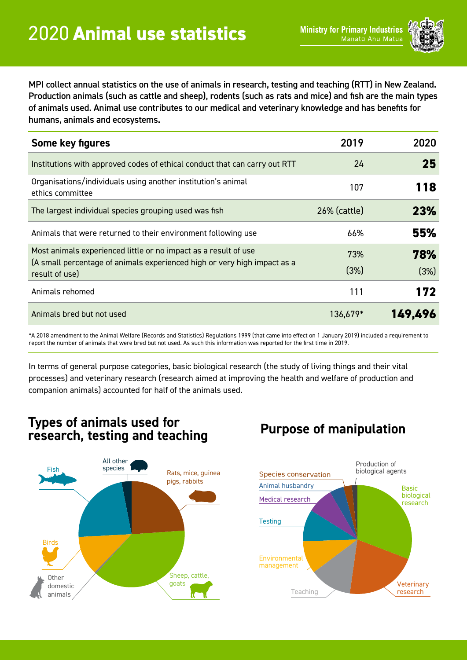

MPI collect annual statistics on the use of animals in research, testing and teaching (RTT) in New Zealand. Production animals (such as cattle and sheep), rodents (such as rats and mice) and fish are the main types of animals used. Animal use contributes to our medical and veterinary knowledge and has benefits for humans, animals and ecosystems.

| Some key figures                                                                                                                                              | 2019         | 2020        |
|---------------------------------------------------------------------------------------------------------------------------------------------------------------|--------------|-------------|
| Institutions with approved codes of ethical conduct that can carry out RTT                                                                                    | 24           | 25          |
| Organisations/individuals using another institution's animal<br>ethics committee                                                                              | 107          | 118         |
| The largest individual species grouping used was fish                                                                                                         | 26% (cattle) | 23%         |
| Animals that were returned to their environment following use                                                                                                 | 66%          | 55%         |
| Most animals experienced little or no impact as a result of use<br>(A small percentage of animals experienced high or very high impact as a<br>result of use) | 73%<br>(3%)  | 78%<br>(3%) |
| Animals rehomed                                                                                                                                               | 111          | 172         |
| Animals bred but not used                                                                                                                                     | 136,679*     | 149,496     |

\*A 2018 amendment to the Animal Welfare (Records and Statistics) Regulations 1999 (that came into effect on 1 January 2019) included a requirement to report the number of animals that were bred but not used. As such this information was reported for the first time in 2019.

In terms of general purpose categories, basic biological research (the study of living things and their vital processes) and veterinary research (research aimed at improving the health and welfare of production and companion animals) accounted for half of the animals used.

#### **Types of animals used for research, testing and teaching Purpose of manipulation**



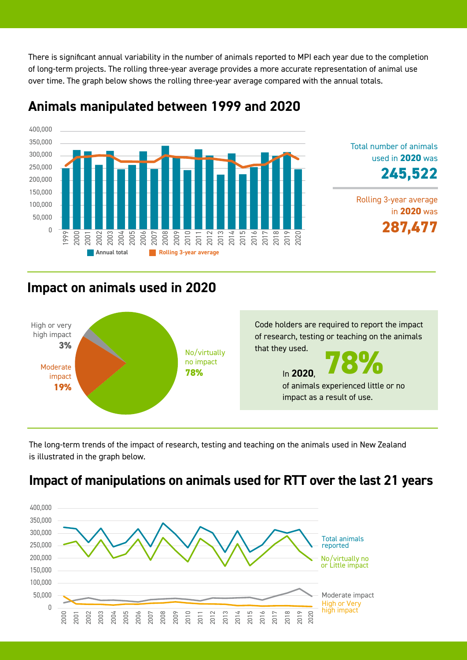There is significant annual variability in the number of animals reported to MPI each year due to the completion of long-term projects. The rolling three-year average provides a more accurate representation of animal use over time. The graph below shows the rolling three-year average compared with the annual totals.



#### **Animals manipulated between 1999 and 2020**



Total number of animals

used in **2020** was

## **Impact on animals used in 2020**



The long-term trends of the impact of research, testing and teaching on the animals used in New Zealand is illustrated in the graph below.

### **Impact of manipulations on animals used for RTT over the last 21 years**